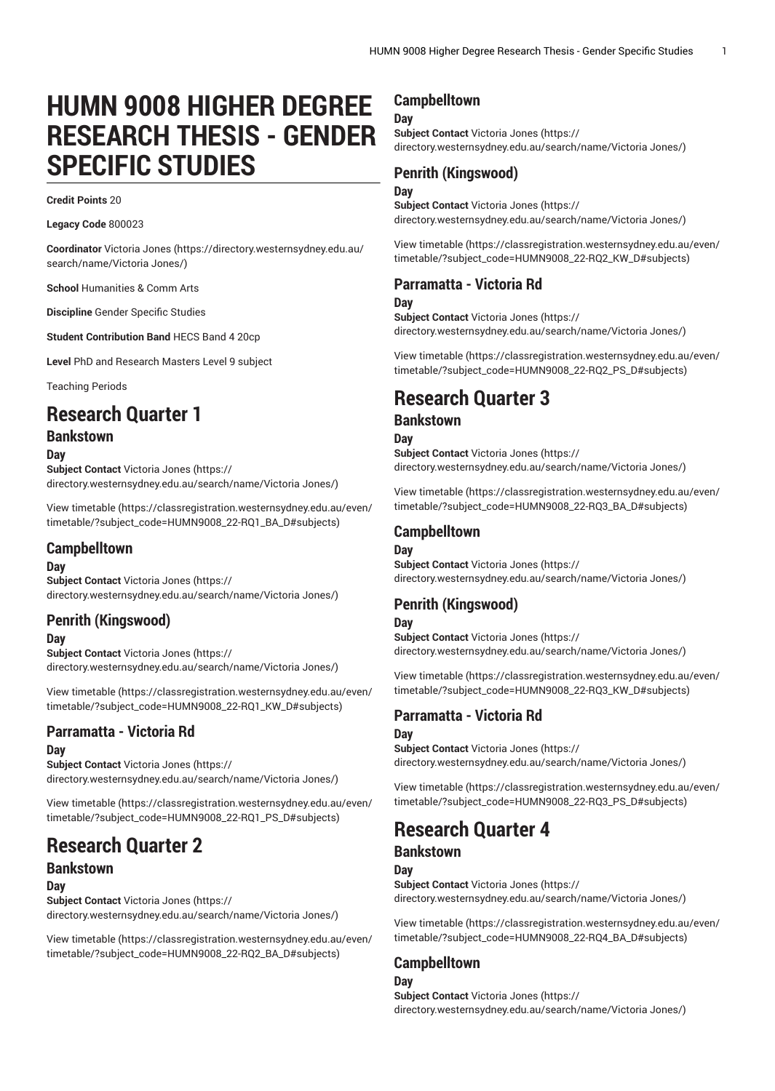# **HUMN 9008 HIGHER DEGREE RESEARCH THESIS - GENDER SPECIFIC STUDIES**

#### **Credit Points** 20

**Legacy Code** 800023

**Coordinator** [Victoria Jones](https://directory.westernsydney.edu.au/search/name/Victoria Jones/) ([https://directory.westernsydney.edu.au/](https://directory.westernsydney.edu.au/search/name/Victoria Jones/) [search/name/Victoria](https://directory.westernsydney.edu.au/search/name/Victoria Jones/) Jones/)

**School** Humanities & Comm Arts

**Discipline** Gender Specific Studies

**Student Contribution Band** HECS Band 4 20cp

**Level** PhD and Research Masters Level 9 subject

Teaching Periods

# **Research Quarter 1**

### **Bankstown**

**Day**

**Subject Contact** [Victoria Jones](https://directory.westernsydney.edu.au/search/name/Victoria Jones/) ([https://](https://directory.westernsydney.edu.au/search/name/Victoria Jones/) [directory.westernsydney.edu.au/search/name/Victoria](https://directory.westernsydney.edu.au/search/name/Victoria Jones/) Jones/)

[View timetable](https://classregistration.westernsydney.edu.au/even/timetable/?subject_code=HUMN9008_22-RQ1_BA_D#subjects) ([https://classregistration.westernsydney.edu.au/even/](https://classregistration.westernsydney.edu.au/even/timetable/?subject_code=HUMN9008_22-RQ1_BA_D#subjects) [timetable/?subject\\_code=HUMN9008\\_22-RQ1\\_BA\\_D#subjects\)](https://classregistration.westernsydney.edu.au/even/timetable/?subject_code=HUMN9008_22-RQ1_BA_D#subjects)

### **Campbelltown**

#### **Day**

**Subject Contact** [Victoria Jones](https://directory.westernsydney.edu.au/search/name/Victoria Jones/) ([https://](https://directory.westernsydney.edu.au/search/name/Victoria Jones/) [directory.westernsydney.edu.au/search/name/Victoria](https://directory.westernsydney.edu.au/search/name/Victoria Jones/) Jones/)

# **Penrith (Kingswood)**

### **Day**

**Subject Contact** [Victoria Jones](https://directory.westernsydney.edu.au/search/name/Victoria Jones/) ([https://](https://directory.westernsydney.edu.au/search/name/Victoria Jones/) [directory.westernsydney.edu.au/search/name/Victoria](https://directory.westernsydney.edu.au/search/name/Victoria Jones/) Jones/)

[View timetable](https://classregistration.westernsydney.edu.au/even/timetable/?subject_code=HUMN9008_22-RQ1_KW_D#subjects) ([https://classregistration.westernsydney.edu.au/even/](https://classregistration.westernsydney.edu.au/even/timetable/?subject_code=HUMN9008_22-RQ1_KW_D#subjects) [timetable/?subject\\_code=HUMN9008\\_22-RQ1\\_KW\\_D#subjects\)](https://classregistration.westernsydney.edu.au/even/timetable/?subject_code=HUMN9008_22-RQ1_KW_D#subjects)

### **Parramatta - Victoria Rd**

#### **Day**

**Subject Contact** [Victoria Jones](https://directory.westernsydney.edu.au/search/name/Victoria Jones/) ([https://](https://directory.westernsydney.edu.au/search/name/Victoria Jones/) [directory.westernsydney.edu.au/search/name/Victoria](https://directory.westernsydney.edu.au/search/name/Victoria Jones/) Jones/)

[View timetable](https://classregistration.westernsydney.edu.au/even/timetable/?subject_code=HUMN9008_22-RQ1_PS_D#subjects) ([https://classregistration.westernsydney.edu.au/even/](https://classregistration.westernsydney.edu.au/even/timetable/?subject_code=HUMN9008_22-RQ1_PS_D#subjects) [timetable/?subject\\_code=HUMN9008\\_22-RQ1\\_PS\\_D#subjects](https://classregistration.westernsydney.edu.au/even/timetable/?subject_code=HUMN9008_22-RQ1_PS_D#subjects))

# **Research Quarter 2**

### **Bankstown**

**Day**

**Subject Contact** [Victoria Jones](https://directory.westernsydney.edu.au/search/name/Victoria Jones/) ([https://](https://directory.westernsydney.edu.au/search/name/Victoria Jones/)

[directory.westernsydney.edu.au/search/name/Victoria](https://directory.westernsydney.edu.au/search/name/Victoria Jones/) Jones/)

[View timetable](https://classregistration.westernsydney.edu.au/even/timetable/?subject_code=HUMN9008_22-RQ2_BA_D#subjects) ([https://classregistration.westernsydney.edu.au/even/](https://classregistration.westernsydney.edu.au/even/timetable/?subject_code=HUMN9008_22-RQ2_BA_D#subjects) [timetable/?subject\\_code=HUMN9008\\_22-RQ2\\_BA\\_D#subjects\)](https://classregistration.westernsydney.edu.au/even/timetable/?subject_code=HUMN9008_22-RQ2_BA_D#subjects)

### **Campbelltown**

### **Day**

**Subject Contact** [Victoria Jones](https://directory.westernsydney.edu.au/search/name/Victoria Jones/) ([https://](https://directory.westernsydney.edu.au/search/name/Victoria Jones/) [directory.westernsydney.edu.au/search/name/Victoria](https://directory.westernsydney.edu.au/search/name/Victoria Jones/) Jones/)

### **Penrith (Kingswood)**

### **Day**

**Subject Contact** [Victoria Jones](https://directory.westernsydney.edu.au/search/name/Victoria Jones/) ([https://](https://directory.westernsydney.edu.au/search/name/Victoria Jones/) [directory.westernsydney.edu.au/search/name/Victoria](https://directory.westernsydney.edu.au/search/name/Victoria Jones/) Jones/)

[View timetable](https://classregistration.westernsydney.edu.au/even/timetable/?subject_code=HUMN9008_22-RQ2_KW_D#subjects) [\(https://classregistration.westernsydney.edu.au/even/](https://classregistration.westernsydney.edu.au/even/timetable/?subject_code=HUMN9008_22-RQ2_KW_D#subjects) [timetable/?subject\\_code=HUMN9008\\_22-RQ2\\_KW\\_D#subjects\)](https://classregistration.westernsydney.edu.au/even/timetable/?subject_code=HUMN9008_22-RQ2_KW_D#subjects)

### **Parramatta - Victoria Rd**

#### **Day**

**Subject Contact** [Victoria Jones](https://directory.westernsydney.edu.au/search/name/Victoria Jones/) ([https://](https://directory.westernsydney.edu.au/search/name/Victoria Jones/) [directory.westernsydney.edu.au/search/name/Victoria](https://directory.westernsydney.edu.au/search/name/Victoria Jones/) Jones/)

[View timetable](https://classregistration.westernsydney.edu.au/even/timetable/?subject_code=HUMN9008_22-RQ2_PS_D#subjects) [\(https://classregistration.westernsydney.edu.au/even/](https://classregistration.westernsydney.edu.au/even/timetable/?subject_code=HUMN9008_22-RQ2_PS_D#subjects) [timetable/?subject\\_code=HUMN9008\\_22-RQ2\\_PS\\_D#subjects\)](https://classregistration.westernsydney.edu.au/even/timetable/?subject_code=HUMN9008_22-RQ2_PS_D#subjects)

# **Research Quarter 3**

### **Bankstown**

**Day**

**Subject Contact** [Victoria Jones](https://directory.westernsydney.edu.au/search/name/Victoria Jones/) ([https://](https://directory.westernsydney.edu.au/search/name/Victoria Jones/) [directory.westernsydney.edu.au/search/name/Victoria](https://directory.westernsydney.edu.au/search/name/Victoria Jones/) Jones/)

[View timetable](https://classregistration.westernsydney.edu.au/even/timetable/?subject_code=HUMN9008_22-RQ3_BA_D#subjects) [\(https://classregistration.westernsydney.edu.au/even/](https://classregistration.westernsydney.edu.au/even/timetable/?subject_code=HUMN9008_22-RQ3_BA_D#subjects) [timetable/?subject\\_code=HUMN9008\\_22-RQ3\\_BA\\_D#subjects\)](https://classregistration.westernsydney.edu.au/even/timetable/?subject_code=HUMN9008_22-RQ3_BA_D#subjects)

### **Campbelltown**

**Day Subject Contact** [Victoria Jones](https://directory.westernsydney.edu.au/search/name/Victoria Jones/) ([https://](https://directory.westernsydney.edu.au/search/name/Victoria Jones/) [directory.westernsydney.edu.au/search/name/Victoria](https://directory.westernsydney.edu.au/search/name/Victoria Jones/) Jones/)

# **Penrith (Kingswood)**

**Subject Contact** [Victoria Jones](https://directory.westernsydney.edu.au/search/name/Victoria Jones/) ([https://](https://directory.westernsydney.edu.au/search/name/Victoria Jones/) [directory.westernsydney.edu.au/search/name/Victoria](https://directory.westernsydney.edu.au/search/name/Victoria Jones/) Jones/)

[View timetable](https://classregistration.westernsydney.edu.au/even/timetable/?subject_code=HUMN9008_22-RQ3_KW_D#subjects) [\(https://classregistration.westernsydney.edu.au/even/](https://classregistration.westernsydney.edu.au/even/timetable/?subject_code=HUMN9008_22-RQ3_KW_D#subjects) [timetable/?subject\\_code=HUMN9008\\_22-RQ3\\_KW\\_D#subjects\)](https://classregistration.westernsydney.edu.au/even/timetable/?subject_code=HUMN9008_22-RQ3_KW_D#subjects)

### **Parramatta - Victoria Rd**

### **Day**

**Day**

**Subject Contact** [Victoria Jones](https://directory.westernsydney.edu.au/search/name/Victoria Jones/) ([https://](https://directory.westernsydney.edu.au/search/name/Victoria Jones/) [directory.westernsydney.edu.au/search/name/Victoria](https://directory.westernsydney.edu.au/search/name/Victoria Jones/) Jones/)

[View timetable](https://classregistration.westernsydney.edu.au/even/timetable/?subject_code=HUMN9008_22-RQ3_PS_D#subjects) [\(https://classregistration.westernsydney.edu.au/even/](https://classregistration.westernsydney.edu.au/even/timetable/?subject_code=HUMN9008_22-RQ3_PS_D#subjects) [timetable/?subject\\_code=HUMN9008\\_22-RQ3\\_PS\\_D#subjects\)](https://classregistration.westernsydney.edu.au/even/timetable/?subject_code=HUMN9008_22-RQ3_PS_D#subjects)

# **Research Quarter 4**

# **Bankstown**

### **Day**

**Subject Contact** [Victoria Jones](https://directory.westernsydney.edu.au/search/name/Victoria Jones/) ([https://](https://directory.westernsydney.edu.au/search/name/Victoria Jones/) [directory.westernsydney.edu.au/search/name/Victoria](https://directory.westernsydney.edu.au/search/name/Victoria Jones/) Jones/)

[View timetable](https://classregistration.westernsydney.edu.au/even/timetable/?subject_code=HUMN9008_22-RQ4_BA_D#subjects) [\(https://classregistration.westernsydney.edu.au/even/](https://classregistration.westernsydney.edu.au/even/timetable/?subject_code=HUMN9008_22-RQ4_BA_D#subjects) [timetable/?subject\\_code=HUMN9008\\_22-RQ4\\_BA\\_D#subjects\)](https://classregistration.westernsydney.edu.au/even/timetable/?subject_code=HUMN9008_22-RQ4_BA_D#subjects)

### **Campbelltown**

# **Day**

**Subject Contact** [Victoria Jones](https://directory.westernsydney.edu.au/search/name/Victoria Jones/) ([https://](https://directory.westernsydney.edu.au/search/name/Victoria Jones/) [directory.westernsydney.edu.au/search/name/Victoria](https://directory.westernsydney.edu.au/search/name/Victoria Jones/) Jones/)